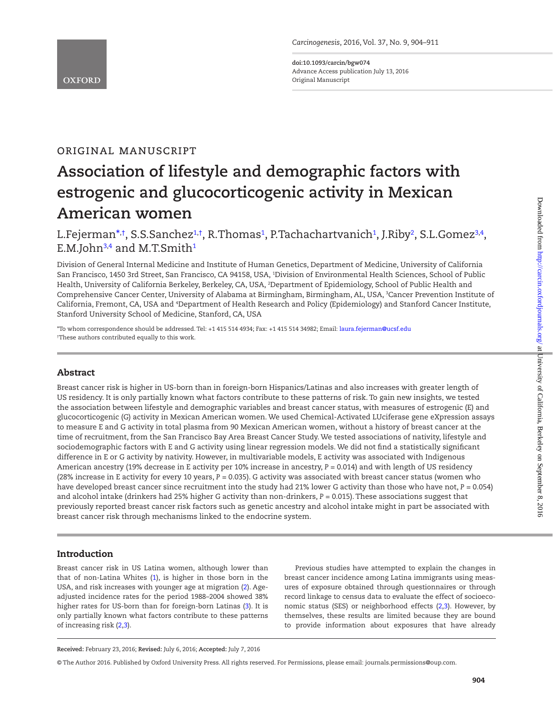# original manuscript

# **Association of lifestyle and demographic factors with estrogenic and glucocorticogenic activity in Mexican American women**

L.Fejerman\*<sup>,[†](#page-0-1)</sup>, S.S.Sanchez<sup>1,†</sup>, R.Thomas<sup>1</sup>, P.Tachachartvanich<sup>1</sup>, J.Riby<sup>[2](#page-0-3)</sup>, S.L.Gomez<sup>3[,4](#page-0-5)</sup>, E.M.John<sup>[3](#page-0-4)[,4](#page-0-5)</sup> and M.T.Smith<sup>1</sup>

<span id="page-0-4"></span><span id="page-0-3"></span><span id="page-0-2"></span>Division of General Internal Medicine and Institute of Human Genetics, Department of Medicine, University of California San Francisco, 1450 3rd Street, San Francisco, CA 94158, USA, 1 Division of Environmental Health Sciences, School of Public Health, University of California Berkeley, Berkeley, CA, USA, 2 Department of Epidemiology, School of Public Health and Comprehensive Cancer Center, University of Alabama at Birmingham, Birmingham, AL, USA, <sup>3</sup>Cancer Prevention Institute of California, Fremont, CA, USA and <sup>4</sup>Department of Health Research and Policy (Epidemiology) and Stanford Cancer Institute, Stanford University School of Medicine, Stanford, CA, USA

<span id="page-0-5"></span><span id="page-0-1"></span><span id="page-0-0"></span>\*To whom correspondence should be addressed. Tel: +1 415 514 4934; Fax: +1 415 514 34982; Email: [laura.fejerman@ucsf.edu](mailto:laura.fejerman@ucsf.edu?subject=) † These authors contributed equally to this work.

# Abstract

Breast cancer risk is higher in US-born than in foreign-born Hispanics/Latinas and also increases with greater length of US residency. It is only partially known what factors contribute to these patterns of risk. To gain new insights, we tested the association between lifestyle and demographic variables and breast cancer status, with measures of estrogenic (E) and glucocorticogenic (G) activity in Mexican American women. We used Chemical-Activated LUciferase gene eXpression assays to measure E and G activity in total plasma from 90 Mexican American women, without a history of breast cancer at the time of recruitment, from the San Francisco Bay Area Breast Cancer Study. We tested associations of nativity, lifestyle and sociodemographic factors with E and G activity using linear regression models. We did not find a statistically significant difference in E or G activity by nativity. However, in multivariable models, E activity was associated with Indigenous American ancestry (19% decrease in E activity per 10% increase in ancestry, P = 0.014) and with length of US residency (28% increase in E activity for every 10 years, *P* = 0.035). G activity was associated with breast cancer status (women who have developed breast cancer since recruitment into the study had 21% lower G activity than those who have not, *P* = 0.054) and alcohol intake (drinkers had 25% higher G activity than non-drinkers, *P* = 0.015). These associations suggest that previously reported breast cancer risk factors such as genetic ancestry and alcohol intake might in part be associated with breast cancer risk through mechanisms linked to the endocrine system.

# Introduction

Breast cancer risk in US Latina women, although lower than that of non-Latina Whites  $(1)$  $(1)$  $(1)$ , is higher in those born in the USA, and risk increases with younger age at migration ([2\)](#page-6-1). Ageadjusted incidence rates for the period 1988–2004 showed 38% higher rates for US-born than for foreign-born Latinas ([3\)](#page-6-2). It is only partially known what factors contribute to these patterns of increasing risk ([2](#page-6-1)[,3](#page-6-2)).

Previous studies have attempted to explain the changes in breast cancer incidence among Latina immigrants using measures of exposure obtained through questionnaires or through record linkage to census data to evaluate the effect of socioeconomic status (SES) or neighborhood effects ([2,](#page-6-1)[3](#page-6-2)). However, by themselves, these results are limited because they are bound to provide information about exposures that have already

© The Author 2016. Published by Oxford University Press. All rights reserved. For Permissions, please email: journals.permissions@oup.com.

**Received:** February 23, 2016; **Revised:** July 6, 2016; **Accepted:** July 7, 2016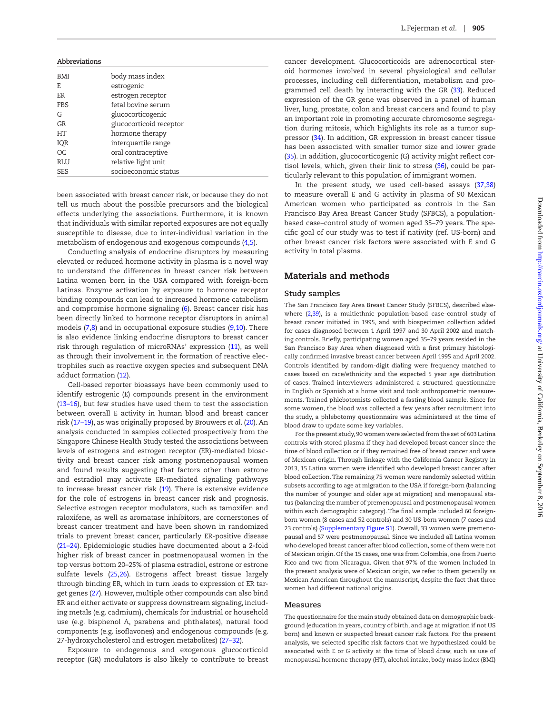| Abbreviations |                         |
|---------------|-------------------------|
| BMI           | body mass index         |
| E.            | estrogenic              |
| ER            | estrogen receptor       |
| <b>FBS</b>    | fetal bovine serum      |
| G             | glucocorticogenic       |
| <b>GR</b>     | glucocorticoid receptor |
| HТ            | hormone therapy         |
| IQR           | interquartile range     |
| OC.           | oral contraceptive      |
| RLU           | relative light unit     |
| <b>SES</b>    | socioeconomic status    |

been associated with breast cancer risk, or because they do not tell us much about the possible precursors and the biological effects underlying the associations. Furthermore, it is known that individuals with similar reported exposures are not equally susceptible to disease, due to inter-individual variation in the metabolism of endogenous and exogenous compounds ([4,](#page-6-3)[5](#page-6-4)).

Conducting analysis of endocrine disruptors by measuring elevated or reduced hormone activity in plasma is a novel way to understand the differences in breast cancer risk between Latina women born in the USA compared with foreign-born Latinas. Enzyme activation by exposure to hormone receptor binding compounds can lead to increased hormone catabolism and compromise hormone signaling ([6\)](#page-6-5). Breast cancer risk has been directly linked to hormone receptor disruptors in animal models [\(7](#page-6-6)[,8](#page-6-7)) and in occupational exposure studies ([9](#page-6-8)[,10](#page-6-9)). There is also evidence linking endocrine disruptors to breast cancer risk through regulation of microRNAs' expression [\(11\)](#page-6-10), as well as through their involvement in the formation of reactive electrophiles such as reactive oxygen species and subsequent DNA adduct formation [\(12](#page-6-11)).

Cell-based reporter bioassays have been commonly used to identify estrogenic (E) compounds present in the environment [\(13–16\)](#page-6-12), but few studies have used them to test the association between overall E activity in human blood and breast cancer risk [\(17–19](#page-6-13)), as was originally proposed by Brouwers *et al*. ([20\)](#page-7-0). An analysis conducted in samples collected prospectively from the Singapore Chinese Health Study tested the associations between levels of estrogens and estrogen receptor (ER)-mediated bioactivity and breast cancer risk among postmenopausal women and found results suggesting that factors other than estrone and estradiol may activate ER-mediated signaling pathways to increase breast cancer risk ([19](#page-6-14)). There is extensive evidence for the role of estrogens in breast cancer risk and prognosis. Selective estrogen receptor modulators, such as tamoxifen and raloxifene, as well as aromatase inhibitors, are cornerstones of breast cancer treatment and have been shown in randomized trials to prevent breast cancer, particularly ER-positive disease [\(21–24\)](#page-7-1). Epidemiologic studies have documented about a 2-fold higher risk of breast cancer in postmenopausal women in the top versus bottom 20–25% of plasma estradiol, estrone or estrone sulfate levels [\(25](#page-7-2)[,26\)](#page-7-3). Estrogens affect breast tissue largely through binding ER, which in turn leads to expression of ER target genes [\(27\)](#page-7-4). However, multiple other compounds can also bind ER and either activate or suppress downstream signaling, including metals (e.g. cadmium), chemicals for industrial or household use (e.g. bisphenol A, parabens and phthalates), natural food components (e.g. isoflavones) and endogenous compounds (e.g. 27-hydroxycholesterol and estrogen metabolites) [\(27–32\)](#page-7-4).

Exposure to endogenous and exogenous glucocorticoid receptor (GR) modulators is also likely to contribute to breast cancer development. Glucocorticoids are adrenocortical steroid hormones involved in several physiological and cellular processes, including cell differentiation, metabolism and programmed cell death by interacting with the GR ([33](#page-7-5)). Reduced expression of the GR gene was observed in a panel of human liver, lung, prostate, colon and breast cancers and found to play an important role in promoting accurate chromosome segregation during mitosis, which highlights its role as a tumor suppressor [\(34\)](#page-7-6). In addition, GR expression in breast cancer tissue has been associated with smaller tumor size and lower grade [\(35\)](#page-7-7). In addition, glucocorticogenic (G) activity might reflect cortisol levels, which, given their link to stress [\(36](#page-7-8)), could be particularly relevant to this population of immigrant women.

In the present study, we used cell-based assays [\(37](#page-7-9)[,38\)](#page-7-10) to measure overall E and G activity in plasma of 90 Mexican American women who participated as controls in the San Francisco Bay Area Breast Cancer Study (SFBCS), a populationbased case–control study of women aged 35–79 years. The specific goal of our study was to test if nativity (ref. US-born) and other breast cancer risk factors were associated with E and G activity in total plasma.

# Materials and methods

#### **Study samples**

The San Francisco Bay Area Breast Cancer Study (SFBCS), described elsewhere ([2](#page-6-1)[,39](#page-7-11)), is a multiethnic population-based case–control study of breast cancer initiated in 1995, and with biospecimen collection added for cases diagnosed between 1 April 1997 and 30 April 2002 and matching controls. Briefly, participating women aged 35–79 years resided in the San Francisco Bay Area when diagnosed with a first primary histologically confirmed invasive breast cancer between April 1995 and April 2002. Controls identified by random-digit dialing were frequency matched to cases based on race/ethnicity and the expected 5 year age distribution of cases. Trained interviewers administered a structured questionnaire in English or Spanish at a home visit and took anthropometric measurements. Trained phlebotomists collected a fasting blood sample. Since for some women, the blood was collected a few years after recruitment into the study, a phlebotomy questionnaire was administered at the time of blood draw to update some key variables.

For the present study, 90 women were selected from the set of 603 Latina controls with stored plasma if they had developed breast cancer since the time of blood collection or if they remained free of breast cancer and were of Mexican origin. Through linkage with the California Cancer Registry in 2013, 15 Latina women were identified who developed breast cancer after blood collection. The remaining 75 women were randomly selected within subsets according to age at migration to the USA if foreign-born (balancing the number of younger and older age at migration) and menopausal status (balancing the number of premenopausal and postmenopausal women within each demographic category). The final sample included 60 foreignborn women (8 cases and 52 controls) and 30 US-born women (7 cases and 23 controls) ([Supplementary Figure S1\)](http://carcin.oxfordjournals.org/lookup/suppl/doi:10.1093/carcin/bgw074/-/DC1). Overall, 33 women were premenopausal and 57 were postmenopausal. Since we included all Latina women who developed breast cancer after blood collection, some of them were not of Mexican origin. Of the 15 cases, one was from Colombia, one from Puerto Rico and two from Nicaragua. Given that 97% of the women included in the present analysis were of Mexican origin, we refer to them generally as Mexican American throughout the manuscript, despite the fact that three women had different national origins.

#### **Measures**

The questionnaire for the main study obtained data on demographic background (education in years, country of birth, and age at migration if not US born) and known or suspected breast cancer risk factors. For the present analysis, we selected specific risk factors that we hypothesized could be associated with E or G activity at the time of blood draw, such as use of menopausal hormone therapy (HT), alcohol intake, body mass index (BMI)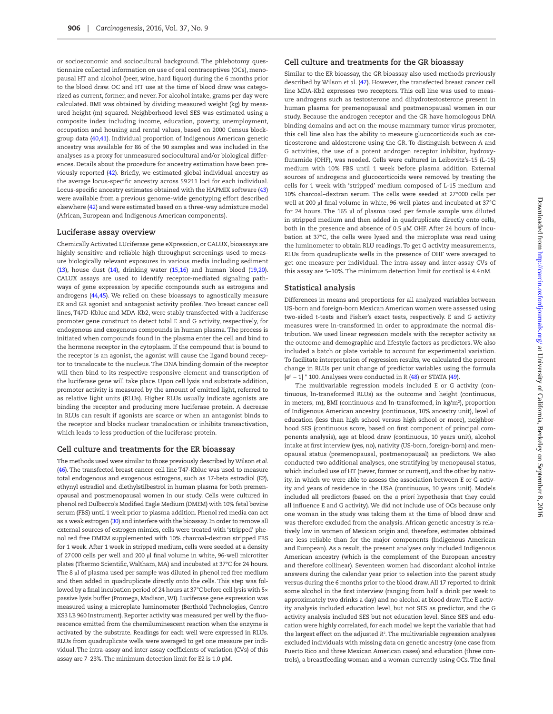or socioeconomic and sociocultural background. The phlebotomy questionnaire collected information on use of oral contraceptives (OCs), menopausal HT and alcohol (beer, wine, hard liquor) during the 6 months prior to the blood draw. OC and HT use at the time of blood draw was categorized as current, former, and never. For alcohol intake, grams per day were calculated. BMI was obtained by dividing measured weight (kg) by measured height (m) squared. Neighborhood level SES was estimated using a composite index including income, education, poverty, unemployment, occupation and housing and rental values, based on 2000 Census blockgroup data ([40](#page-7-12)[,41](#page-7-13)). Individual proportion of Indigenous American genetic ancestry was available for 86 of the 90 samples and was included in the analyses as a proxy for unmeasured sociocultural and/or biological differences. Details about the procedure for ancestry estimation have been previously reported [\(42\)](#page-7-14). Briefly, we estimated global individual ancestry as the average locus-specific ancestry across 59211 loci for each individual. Locus-specific ancestry estimates obtained with the HAPMIX software ([43](#page-7-15)) were available from a previous genome-wide genotyping effort described elsewhere ([42](#page-7-14)) and were estimated based on a three-way admixture model (African, European and Indigenous American components).

#### **Luciferase assay overview**

Chemically Activated LUciferase gene eXpression, or CALUX, bioassays are highly sensitive and reliable high throughput screenings used to measure biologically relevant exposures in various media including sediment [\(13](#page-6-12)), house dust ([14\)](#page-6-15), drinking water [\(15](#page-6-16)[,16\)](#page-6-17) and human blood [\(19](#page-6-14)[,20\)](#page-7-0). CALUX assays are used to identify receptor-mediated signaling pathways of gene expression by specific compounds such as estrogens and androgens [\(44](#page-7-16)[,45\)](#page-7-17). We relied on these bioassays to agnostically measure ER and GR agonist and antagonist activity profiles. Two breast cancer cell lines, T47D-Kbluc and MDA-Kb2, were stably transfected with a luciferase promoter gene construct to detect total E and G activity, respectively, for endogenous and exogenous compounds in human plasma. The process is initiated when compounds found in the plasma enter the cell and bind to the hormone receptor in the cytoplasm. If the compound that is bound to the receptor is an agonist, the agonist will cause the ligand bound receptor to translocate to the nucleus. The DNA binding domain of the receptor will then bind to its respective responsive element and transcription of the luciferase gene will take place. Upon cell lysis and substrate addition, promoter activity is measured by the amount of emitted light, referred to as relative light units (RLUs). Higher RLUs usually indicate agonists are binding the receptor and producing more luciferase protein. A decrease in RLUs can result if agonists are scarce or when an antagonist binds to the receptor and blocks nuclear translocation or inhibits transactivation, which leads to less production of the luciferase protein.

#### **Cell culture and treatments for the ER bioassay**

The methods used were similar to those previously described by Wilson *et al*. [\(46](#page-7-18)). The transfected breast cancer cell line T47-Kbluc was used to measure total endogenous and exogenous estrogens, such as 17-beta estradiol (E2), ethynyl estradiol and diethylstilbestrol in human plasma for both premenopausal and postmenopausal women in our study. Cells were cultured in phenol red Dulbecco's Modified Eagle Medium (DMEM) with 10% fetal bovine serum (FBS) until 1 week prior to plasma addition. Phenol red media can act as a weak estrogen [\(30](#page-7-19)) and interfere with the bioassay. In order to remove all external sources of estrogen mimics, cells were treated with 'stripped' phenol red free DMEM supplemented with 10% charcoal–dextran stripped FBS for 1 week. After 1 week in stripped medium, cells were seeded at a density of 27000 cells per well and 200 µl final volume in white, 96-well microtiter plates (Thermo Scientific, Waltham, MA) and incubated at 37°C for 24 hours. The 8 µl of plasma used per sample was diluted in phenol red free medium and then added in quadruplicate directly onto the cells. This step was followed by a final incubation period of 24 hours at 37°C before cell lysis with 5× passive lysis buffer (Promega, Madison, WI). Luciferase gene expression was measured using a microplate luminometer (Berthold Technologies, Centro XS3 LB 960 Instrument). Reporter activity was measured per well by the fluorescence emitted from the chemiluminescent reaction when the enzyme is activated by the substrate. Readings for each well were expressed in RLUs. RLUs from quadruplicate wells were averaged to get one measure per individual. The intra-assay and inter-assay coefficients of variation (CVs) of this assay are 7–23%. The minimum detection limit for E2 is 1.0 pM.

#### **Cell culture and treatments for the GR bioassay**

Similar to the ER bioassay, the GR bioassay also used methods previously described by Wilson *et al*. [\(47](#page-7-20)). However, the transfected breast cancer cell line MDA-Kb2 expresses two receptors. This cell line was used to measure androgens such as testosterone and dihydrotestosterone present in human plasma for premenopausal and postmenopausal women in our study. Because the androgen receptor and the GR have homologous DNA binding domains and act on the mouse mammary tumor virus promoter, this cell line also has the ability to measure glucocorticoids such as corticosterone and aldosterone using the GR. To distinguish between A and G activities, the use of a potent androgen receptor inhibitor, hydroxyflutamide (OHF), was needed. Cells were cultured in Leibovitz's-15 (L-15) medium with 10% FBS until 1 week before plasma addition. External sources of androgens and glucocorticoids were removed by treating the cells for 1 week with 'stripped' medium composed of L-15 medium and 10% charcoal–dextran serum. The cells were seeded at 27°000 cells per well at 200 µl final volume in white, 96-well plates and incubated at 37°C for 24 hours. The 165 µl of plasma used per female sample was diluted in stripped medium and then added in quadruplicate directly onto cells, both in the presence and absence of 0.5 µM OHF. After 24 hours of incubation at 37°C, the cells were lysed and the microplate was read using the luminometer to obtain RLU readings. To get G activity measurements, RLUs from quadruplicate wells in the presence of OHF were averaged to get one measure per individual. The intra-assay and inter-assay CVs of this assay are 5–10%. The minimum detection limit for cortisol is 4.4nM.

#### **Statistical analysis**

Differences in means and proportions for all analyzed variables between US-born and foreign-born Mexican American women were assessed using two-sided *t*-tests and Fisher's exact tests, respectively. E and G activity measures were ln-transformed in order to approximate the normal distribution. We used linear regression models with the receptor activity as the outcome and demographic and lifestyle factors as predictors. We also included a batch or plate variable to account for experimental variation. To facilitate interpretation of regression results, we calculated the percent change in RLUs per unit change of predictor variables using the formula  $[e^{\beta}-1]$  \* 100. Analyses were conducted in R [\(48](#page-7-21)) or STATA ([49](#page-7-22)).

The multivariable regression models included E or G activity (continuous, ln-transformed RLUs) as the outcome and height (continuous, in meters; m), BMI (continuous and ln-transformed, in kg/m2 ), proportion of Indigenous American ancestry (continuous, 10% ancestry unit), level of education (less than high school versus high school or more), neighborhood SES (continuous score, based on first component of principal components analysis), age at blood draw (continuous, 10 years unit), alcohol intake at first interview (yes, no), nativity (US-born, foreign-born) and menopausal status (premenopausal, postmenopausal) as predictors. We also conducted two additional analyses, one stratifying by menopausal status, which included use of HT (never, former or current), and the other by nativity, in which we were able to assess the association between E or G activity and years of residence in the USA (continuous, 10 years unit). Models included all predictors (based on the *a priori* hypothesis that they could all influence E and G activity). We did not include use of OCs because only one woman in the study was taking them at the time of blood draw and was therefore excluded from the analysis. African genetic ancestry is relatively low in women of Mexican origin and, therefore, estimates obtained are less reliable than for the major components (Indigenous American and European). As a result, the present analyses only included Indigenous American ancestry (which is the complement of the European ancestry and therefore collinear). Seventeen women had discordant alcohol intake answers during the calendar year prior to selection into the parent study versus during the 6 months prior to the blood draw. All 17 reported to drink some alcohol in the first interview (ranging from half a drink per week to approximately two drinks a day) and no alcohol at blood draw. The E activity analysis included education level, but not SES as predictor, and the G activity analysis included SES but not education level. Since SES and education were highly correlated, for each model we kept the variable that had the largest effect on the adjusted *R*<sup>2</sup> . The multivariable regression analyses excluded individuals with missing data on genetic ancestry (one case from Puerto Rico and three Mexican American cases) and education (three controls), a breastfeeding woman and a woman currently using OCs. The final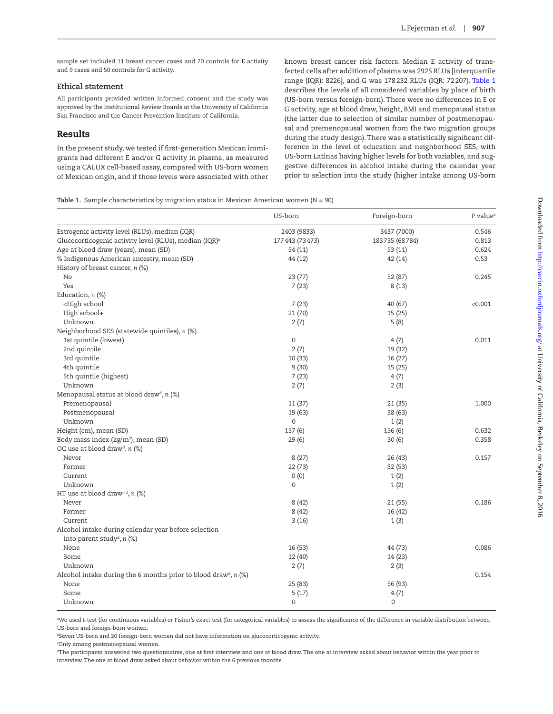sample set included 11 breast cancer cases and 70 controls for E activity and 9 cases and 50 controls for G activity.

#### **Ethical statement**

All participants provided written informed consent and the study was approved by the Institutional Review Boards at the University of California San Francisco and the Cancer Prevention Institute of California.

# Results

In the present study, we tested if first-generation Mexican immigrants had different E and/or G activity in plasma, as measured using a CALUX cell-based assay, compared with US-born women of Mexican origin, and if those levels were associated with other known breast cancer risk factors. Median E activity of transfected cells after addition of plasma was 2925 RLUs [interquartile range (IQR): 8226], and G was 178232 RLUs (IQR: 72207). [Table 1](#page-3-0) describes the levels of all considered variables by place of birth (US-born versus foreign-born). There were no differences in E or G activity, age at blood draw, height, BMI and menopausal status (the latter due to selection of similar number of postmenopausal and premenopausal women from the two migration groups during the study design). There was a statistically significant difference in the level of education and neighborhood SES, with US-born Latinas having higher levels for both variables, and suggestive differences in alcohol intake during the calendar year prior to selection into the study (higher intake among US-born

#### <span id="page-3-0"></span>**Table 1.** Sample characteristics by migration status in Mexican American women (*N* = 90)

|                                                                                 | US-born        | Foreign-born   | P value <sup>a</sup> |
|---------------------------------------------------------------------------------|----------------|----------------|----------------------|
| Estrogenic activity level (RLUs), median (IQR)                                  | 2403 (9833)    | 3437 (7000)    | 0.546                |
| Glucocorticogenic activity level (RLUs), median (IQR) <sup>b</sup>              | 177443 (73473) | 183735 (68784) | 0.813                |
| Age at blood draw (years), mean (SD)                                            | 54 (11)        | 53 (11)        | 0.624                |
| % Indigenous American ancestry, mean (SD)                                       | 44 (12)        | 42 (14)        | 0.53                 |
| History of breast cancer, n (%)                                                 |                |                |                      |
| No                                                                              | 23(77)         | 52 (87)        | 0.245                |
| Yes                                                                             | 7(23)          | 8(13)          |                      |
| Education, $n$ (%)                                                              |                |                |                      |
| <high school<="" td=""><td>7(23)</td><td>40 (67)</td><td>&lt; 0.001</td></high> | 7(23)          | 40 (67)        | < 0.001              |
| High school+                                                                    | 21 (70)        | 15 (25)        |                      |
| Unknown                                                                         | 2(7)           | 5(8)           |                      |
| Neighborhood SES (statewide quintiles), n (%)                                   |                |                |                      |
| 1st quintile (lowest)                                                           | $\mathbf 0$    | 4(7)           | 0.011                |
| 2nd quintile                                                                    | 2(7)           | 19 (32)        |                      |
| 3rd quintile                                                                    | 10 (33)        | 16 (27)        |                      |
| 4th quintile                                                                    | 9(30)          | 15 (25)        |                      |
| 5th quintile (highest)                                                          | 7(23)          | 4(7)           |                      |
| Unknown                                                                         | 2(7)           | 2(3)           |                      |
| Menopausal status at blood draw <sup>d</sup> , n (%)                            |                |                |                      |
| Premenopausal                                                                   | 11(37)         | 21 (35)        | 1.000                |
| Postmenopausal                                                                  | 19 (63)        | 38 (63)        |                      |
| Unknown                                                                         | 0              | 1(2)           |                      |
| Height (cm), mean (SD)                                                          | 157(6)         | 156 (6)        | 0.632                |
| Body mass index (kg/m <sup>2</sup> ), mean (SD)                                 | 29(6)          | 30(6)          | 0.358                |
| OC use at blood draw <sup>d</sup> , $n$ (%)                                     |                |                |                      |
| Never                                                                           | 8(27)          | 26 (43)        | 0.157                |
| Former                                                                          | 22(73)         | 32 (53)        |                      |
| Current                                                                         | 0(0)           | 1(2)           |                      |
| Unknown                                                                         | 0              | 1(2)           |                      |
| HT use at blood drawc,d, n (%)                                                  |                |                |                      |
| Never                                                                           | 8(42)          | 21 (55)        | 0.186                |
| Former                                                                          | 8(42)          | 16 (42)        |                      |
| Current                                                                         | 3(16)          | 1(3)           |                      |
| Alcohol intake during calendar year before selection                            |                |                |                      |
| into parent study <sup>d</sup> , n (%)                                          |                |                |                      |
| None                                                                            | 16 (53)        | 44 (73)        | 0.086                |
| Some                                                                            | 12 (40)        | 14 (23)        |                      |
| Unknown                                                                         | 2(7)           | 2(3)           |                      |
| Alcohol intake during the 6 months prior to blood draw <sup>d</sup> , n (%)     |                |                | 0.154                |
| None                                                                            | 25 (83)        | 56 (93)        |                      |
| Some                                                                            | 5(17)          | 4(7)           |                      |
| Unknown                                                                         | 0              | 0              |                      |

aWe used *t*-test (for continuous variables) or Fisher's exact test (for categorical variables) to assess the significance of the difference in variable distribution between US-born and foreign-born women.

**BSeven US-born and 20 foreign-born women did not have information on glucocorticogenic activity.** 

c Only among postmenopausal women.

dThe participants answered two questionnaires, one at first interview and one at blood draw. The one at interview asked about behavior within the year prior to interview. The one at blood draw asked about behavior within the 6 previous months.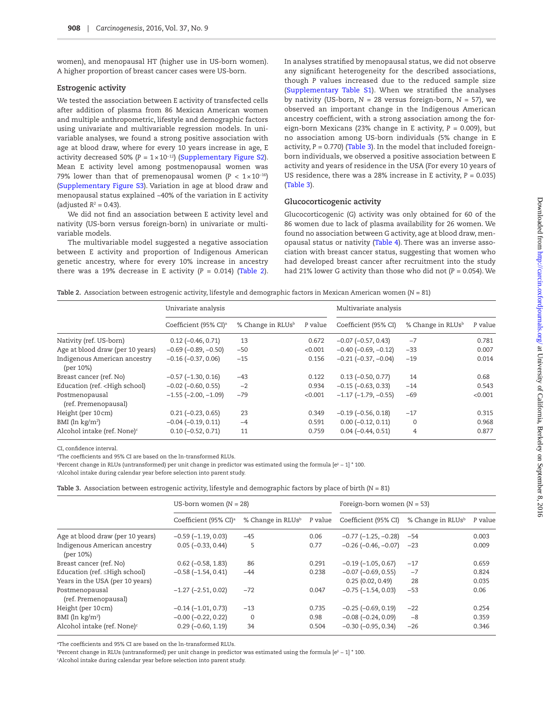women), and menopausal HT (higher use in US-born women). A higher proportion of breast cancer cases were US-born.

## **Estrogenic activity**

We tested the association between E activity of transfected cells after addition of plasma from 86 Mexican American women and multiple anthropometric, lifestyle and demographic factors using univariate and multivariable regression models. In univariable analyses, we found a strong positive association with age at blood draw, where for every 10 years increase in age, E activity decreased 50% (*P* = 1×10−12) ([Supplementary Figure S2\)](http://carcin.oxfordjournals.org/lookup/suppl/doi:10.1093/carcin/bgw074/-/DC1). Mean E activity level among postmenopausal women was 79% lower than that of premenopausal women ( $P < 1 \times 10^{-16}$ ) [\(Supplementary Figure S3](http://carcin.oxfordjournals.org/lookup/suppl/doi:10.1093/carcin/bgw074/-/DC1)). Variation in age at blood draw and menopausal status explained ~40% of the variation in E activity  $(adjusted R<sup>2</sup> = 0.43).$ 

We did not find an association between E activity level and nativity (US-born versus foreign-born) in univariate or multivariable models.

The multivariable model suggested a negative association between E activity and proportion of Indigenous American genetic ancestry, where for every 10% increase in ancestry there was a 19% decrease in E activity  $(P = 0.014)$  [\(Table 2\)](#page-4-0). In analyses stratified by menopausal status, we did not observe any significant heterogeneity for the described associations, though *P* values increased due to the reduced sample size ([Supplementary Table S1\)](http://carcin.oxfordjournals.org/lookup/suppl/doi:10.1093/carcin/bgw074/-/DC1). When we stratified the analyses by nativity (US-born,  $N = 28$  versus foreign-born,  $N = 57$ ), we observed an important change in the Indigenous American ancestry coefficient, with a strong association among the foreign-born Mexicans (23% change in E activity, *P* = 0.009), but no association among US-born individuals (5% change in E activity, *P* = 0.770) [\(Table 3](#page-4-1)). In the model that included foreignborn individuals, we observed a positive association between E activity and years of residence in the USA (For every 10 years of US residence, there was a 28% increase in E activity, *P* = 0.035) ([Table 3\)](#page-4-1).

#### **Glucocorticogenic activity**

Glucocorticogenic (G) activity was only obtained for 60 of the 86 women due to lack of plasma availability for 26 women. We found no association between G activity, age at blood draw, menopausal status or nativity [\(Table 4](#page-5-0)). There was an inverse association with breast cancer status, suggesting that women who had developed breast cancer after recruitment into the study had 21% lower G activity than those who did not (*P* = 0.054). We

<span id="page-4-0"></span>**Table 2.** Association between estrogenic activity, lifestyle and demographic factors in Mexican American women (*N* = 81)

|                                                                                                                                                                                                                                          | Univariate analysis               |                               |         | Multivariate analysis         |                               |         |
|------------------------------------------------------------------------------------------------------------------------------------------------------------------------------------------------------------------------------------------|-----------------------------------|-------------------------------|---------|-------------------------------|-------------------------------|---------|
|                                                                                                                                                                                                                                          | Coefficient (95% CI) <sup>a</sup> | % Change in RLUs <sup>b</sup> | P value | Coefficient (95% CI)          | % Change in RLUs <sup>b</sup> | P value |
| Nativity (ref. US-born)                                                                                                                                                                                                                  | $0.12 (-0.46, 0.71)$              | 13                            | 0.672   | $-0.07$ $(-0.57, 0.43)$       | $-7$                          | 0.781   |
| Age at blood draw (per 10 years)                                                                                                                                                                                                         | $-0.69$ ( $-0.89$ , $-0.50$ )     | $-50$                         | < 0.001 | $-0.40$ ( $-0.69$ , $-0.12$ ) | $-33$                         | 0.007   |
| Indigenous American ancestry<br>(per 10%)                                                                                                                                                                                                | $-0.16$ $(-0.37, 0.06)$           | $-15$                         | 0.156   | $-0.21$ ( $-0.37$ , $-0.04$ ) | $-19$                         | 0.014   |
| Breast cancer (ref. No)                                                                                                                                                                                                                  | $-0.57$ $(-1.30, 0.16)$           | $-43$                         | 0.122   | $0.13 (-0.50, 0.77)$          | 14                            | 0.68    |
| Education (ref. <high school)<="" td=""><td><math>-0.02</math> (<math>-0.60</math>, 0.55)</td><td><math>-2</math></td><td>0.934</td><td><math>-0.15</math> (<math>-0.63</math>, 0.33)</td><td><math>-14</math></td><td>0.543</td></high> | $-0.02$ ( $-0.60$ , 0.55)         | $-2$                          | 0.934   | $-0.15$ ( $-0.63$ , 0.33)     | $-14$                         | 0.543   |
| Postmenopausal<br>(ref. Premenopausal)                                                                                                                                                                                                   | $-1.55$ $(-2.00, -1.09)$          | $-79$                         | < 0.001 | $-1.17$ $(-1.79, -0.55)$      | $-69$                         | < 0.001 |
| Height (per 10 cm)                                                                                                                                                                                                                       | $0.21 (-0.23, 0.65)$              | 23                            | 0.349   | $-0.19$ $(-0.56, 0.18)$       | $-17$                         | 0.315   |
| BMI ( $\ln$ kg/m <sup>2</sup> )                                                                                                                                                                                                          | $-0.04$ $(-0.19, 0.11)$           | $-4$                          | 0.591   | $0.00 (-0.12, 0.11)$          | 0                             | 0.968   |
| Alcohol intake (ref. None) <sup>c</sup>                                                                                                                                                                                                  | $0.10 (-0.52, 0.71)$              | 11                            | 0.759   | $0.04 (-0.44, 0.51)$          | 4                             | 0.877   |

CI, confidence interval.

aThe coefficients and 95% CI are based on the ln-transformed RLUs.

bPercent change in RLUs (untransformed) per unit change in predictor was estimated using the formula [e<sup>β</sup> − 1] \* 100.

c Alcohol intake during calendar year before selection into parent study.

<span id="page-4-1"></span>

| <b>Table 3.</b> Association between estrogenic activity, lifestyle and demographic factors by place of birth (N = 81) |  |  |  |  |  |
|-----------------------------------------------------------------------------------------------------------------------|--|--|--|--|--|
|-----------------------------------------------------------------------------------------------------------------------|--|--|--|--|--|

|                                           | US-born women $(N = 28)$          |                               |         | Foreign-born women $(N = 53)$ |                               |         |
|-------------------------------------------|-----------------------------------|-------------------------------|---------|-------------------------------|-------------------------------|---------|
|                                           | Coefficient (95% CI) <sup>a</sup> | % Change in RLUs <sup>b</sup> | P value | Coefficient (95% CI)          | % Change in RLUs <sup>b</sup> | P value |
| Age at blood draw (per 10 years)          | $-0.59$ ( $-1.19$ , 0.03)         | $-45$                         | 0.06    | $-0.77$ ( $-1.25$ , $-0.28$ ) | $-54$                         | 0.003   |
| Indigenous American ancestry<br>(per 10%) | $0.05 (-0.33, 0.44)$              | 5                             | 0.77    | $-0.26$ ( $-0.46$ , $-0.07$ ) | $-23$                         | 0.009   |
| Breast cancer (ref. No)                   | $0.62$ ( $-0.58$ , 1.83)          | 86                            | 0.291   | $-0.19$ ( $-1.05$ , 0.67)     | $-17$                         | 0.659   |
| Education (ref. $\leq$ High school)       | $-0.58$ $(-1.54, 0.41)$           | $-44$                         | 0.238   | $-0.07$ $(-0.69, 0.55)$       | $-7$                          | 0.824   |
| Years in the USA (per 10 years)           |                                   |                               |         | 0.25(0.02, 0.49)              | 28                            | 0.035   |
| Postmenopausal<br>(ref. Premenopausal)    | $-1.27$ $(-2.51, 0.02)$           | $-72$                         | 0.047   | $-0.75$ $(-1.54, 0.03)$       | $-53$                         | 0.06    |
| Height (per 10cm)                         | $-0.14(-1.01, 0.73)$              | $-13$                         | 0.735   | $-0.25$ ( $-0.69$ , $0.19$ )  | $-22$                         | 0.254   |
| BMI ( $\ln$ kg/m <sup>2</sup> )           | $-0.00$ ( $-0.22$ , 0.22)         | 0                             | 0.98    | $-0.08$ $(-0.24, 0.09)$       | $-8$                          | 0.359   |
| Alcohol intake (ref. None) <sup>c</sup>   | $0.29(-0.60, 1.19)$               | 34                            | 0.504   | $-0.30$ $(-0.95, 0.34)$       | $-26$                         | 0.346   |

aThe coefficients and 95% CI are based on the ln-transformed RLUs.

bPercent change in RLUs (untransformed) per unit change in predictor was estimated using the formula [e<sup>β</sup> − 1] \* 100.

c Alcohol intake during calendar year before selection into parent study.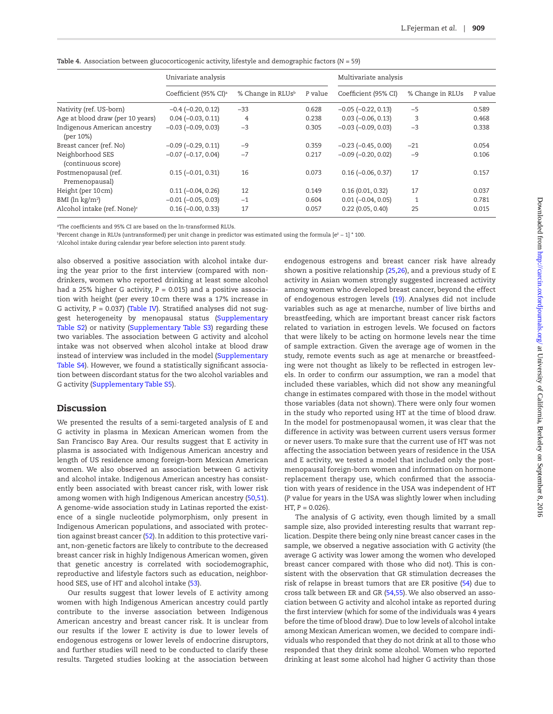<span id="page-5-0"></span>

| Table 4. Association between glucocorticogenic activity, lifestyle and demographic factors ( $N = 59$ ) |  |  |  |  |  |
|---------------------------------------------------------------------------------------------------------|--|--|--|--|--|
|---------------------------------------------------------------------------------------------------------|--|--|--|--|--|

|                                           | Univariate analysis               |                               |         | Multivariate analysis       |                  |         |
|-------------------------------------------|-----------------------------------|-------------------------------|---------|-----------------------------|------------------|---------|
|                                           | Coefficient (95% CI) <sup>a</sup> | % Change in RLUs <sup>b</sup> | P value | Coefficient (95% CI)        | % Change in RLUs | P value |
| Nativity (ref. US-born)                   | $-0.4$ $(-0.20, 0.12)$            | $-33$                         | 0.628   | $-0.05$ $(-0.22, 0.13)$     | $-5$             | 0.589   |
| Age at blood draw (per 10 years)          | $0.04 (-0.03, 0.11)$              | 4                             | 0.238   | $0.03$ ( $-0.06$ , $0.13$ ) | 3                | 0.468   |
| Indigenous American ancestry<br>(per 10%) | $-0.03$ $(-0.09, 0.03)$           | $-3$                          | 0.305   | $-0.03$ $(-0.09, 0.03)$     | $-3$             | 0.338   |
| Breast cancer (ref. No)                   | $-0.09$ $(-0.29, 0.11)$           | $-9$                          | 0.359   | $-0.23$ $(-0.45, 0.00)$     | $-21$            | 0.054   |
| Neighborhood SES<br>(continuous score)    | $-0.07$ $(-0.17, 0.04)$           | $-7$                          | 0.217   | $-0.09$ $(-0.20, 0.02)$     | $-9$             | 0.106   |
| Postmenopausal (ref.<br>Premenopausal)    | $0.15 (-0.01, 0.31)$              | 16                            | 0.073   | $0.16$ (-0.06, 0.37)        | 17               | 0.157   |
| Height (per 10cm)                         | $0.11 (-0.04, 0.26)$              | 12                            | 0.149   | 0.16(0.01, 0.32)            | 17               | 0.037   |
| BMI ( $\ln$ kg/m <sup>2</sup> )           | $-0.01$ $(-0.05, 0.03)$           | $-1$                          | 0.604   | $0.01 (-0.04, 0.05)$        | 1                | 0.781   |
| Alcohol intake (ref. None) <sup>c</sup>   | $0.16$ ( $-0.00$ , $0.33$ )       | 17                            | 0.057   | 0.22(0.05, 0.40)            | 25               | 0.015   |

aThe coefficients and 95% CI are based on the ln-transformed RLUs.

bPercent change in RLUs (untransformed) per unit change in predictor was estimated using the formula [e<sup>β</sup> − 1] \* 100.

c Alcohol intake during calendar year before selection into parent study.

also observed a positive association with alcohol intake during the year prior to the first interview (compared with nondrinkers, women who reported drinking at least some alcohol had a 25% higher G activity, *P* = 0.015) and a positive association with height (per every 10cm there was a 17% increase in G activity, *P* = 0.037) [\(Table IV](#page-5-0)). Stratified analyses did not suggest heterogeneity by menopausal status ([Supplementary](http://carcin.oxfordjournals.org/lookup/suppl/doi:10.1093/carcin/bgw074/-/DC1) [Table S2](http://carcin.oxfordjournals.org/lookup/suppl/doi:10.1093/carcin/bgw074/-/DC1)) or nativity ([Supplementary Table S3\)](http://carcin.oxfordjournals.org/lookup/suppl/doi:10.1093/carcin/bgw074/-/DC1) regarding these two variables. The association between G activity and alcohol intake was not observed when alcohol intake at blood draw instead of interview was included in the model ([Supplementary](http://carcin.oxfordjournals.org/lookup/suppl/doi:10.1093/carcin/bgw074/-/DC1) [Table S4\)](http://carcin.oxfordjournals.org/lookup/suppl/doi:10.1093/carcin/bgw074/-/DC1). However, we found a statistically significant association between discordant status for the two alcohol variables and G activity [\(Supplementary Table S5\)](http://carcin.oxfordjournals.org/lookup/suppl/doi:10.1093/carcin/bgw074/-/DC1).

# Discussion

We presented the results of a semi-targeted analysis of E and G activity in plasma in Mexican American women from the San Francisco Bay Area. Our results suggest that E activity in plasma is associated with Indigenous American ancestry and length of US residence among foreign-born Mexican American women. We also observed an association between G activity and alcohol intake. Indigenous American ancestry has consistently been associated with breast cancer risk, with lower risk among women with high Indigenous American ancestry [\(50,](#page-7-23)[51\)](#page-7-24). A genome-wide association study in Latinas reported the existence of a single nucleotide polymorphism, only present in Indigenous American populations, and associated with protection against breast cancer ([52](#page-7-25)). In addition to this protective variant, non-genetic factors are likely to contribute to the decreased breast cancer risk in highly Indigenous American women, given that genetic ancestry is correlated with sociodemographic, reproductive and lifestyle factors such as education, neighborhood SES, use of HT and alcohol intake ([53\)](#page-7-26).

Our results suggest that lower levels of E activity among women with high Indigenous American ancestry could partly contribute to the inverse association between Indigenous American ancestry and breast cancer risk. It is unclear from our results if the lower E activity is due to lower levels of endogenous estrogens or lower levels of endocrine disruptors, and further studies will need to be conducted to clarify these results. Targeted studies looking at the association between

endogenous estrogens and breast cancer risk have already shown a positive relationship ([25](#page-7-2)[,26\)](#page-7-3), and a previous study of E activity in Asian women strongly suggested increased activity among women who developed breast cancer, beyond the effect of endogenous estrogen levels [\(19\)](#page-6-14). Analyses did not include variables such as age at menarche, number of live births and breastfeeding, which are important breast cancer risk factors related to variation in estrogen levels. We focused on factors that were likely to be acting on hormone levels near the time of sample extraction. Given the average age of women in the study, remote events such as age at menarche or breastfeeding were not thought as likely to be reflected in estrogen levels. In order to confirm our assumption, we ran a model that included these variables, which did not show any meaningful change in estimates compared with those in the model without those variables (data not shown). There were only four women in the study who reported using HT at the time of blood draw. In the model for postmenopausal women, it was clear that the difference in activity was between current users versus former or never users. To make sure that the current use of HT was not affecting the association between years of residence in the USA and E activity, we tested a model that included only the postmenopausal foreign-born women and information on hormone replacement therapy use, which confirmed that the association with years of residence in the USA was independent of HT (*P* value for years in the USA was slightly lower when including  $HT, P = 0.026$ ).

The analysis of G activity, even though limited by a small sample size, also provided interesting results that warrant replication. Despite there being only nine breast cancer cases in the sample, we observed a negative association with G activity (the average G activity was lower among the women who developed breast cancer compared with those who did not). This is consistent with the observation that GR stimulation decreases the risk of relapse in breast tumors that are ER positive [\(54](#page-7-27)) due to cross talk between ER and GR [\(54](#page-7-27)[,55\)](#page-7-28). We also observed an association between G activity and alcohol intake as reported during the first interview (which for some of the individuals was 4 years before the time of blood draw). Due to low levels of alcohol intake among Mexican American women, we decided to compare individuals who responded that they do not drink at all to those who responded that they drink some alcohol. Women who reported drinking at least some alcohol had higher G activity than those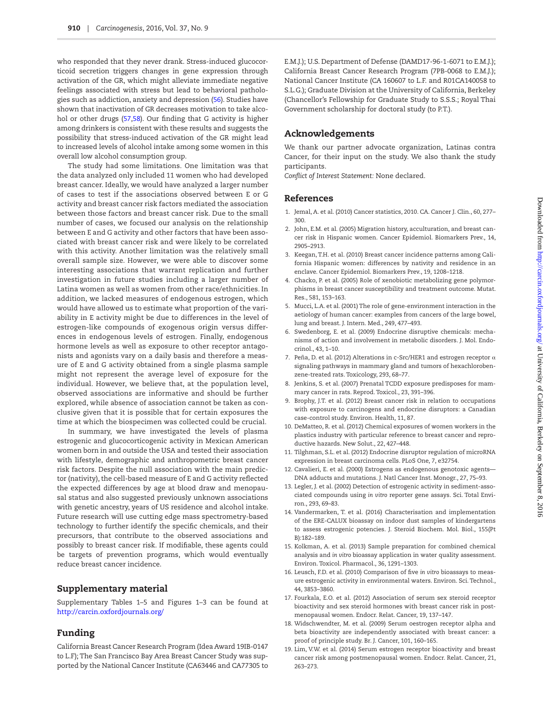who responded that they never drank. Stress-induced glucocorticoid secretion triggers changes in gene expression through activation of the GR, which might alleviate immediate negative feelings associated with stress but lead to behavioral pathologies such as addiction, anxiety and depression [\(56\)](#page-7-29). Studies have shown that inactivation of GR decreases motivation to take alcohol or other drugs ([57](#page-7-30)[,58](#page-7-31)). Our finding that G activity is higher among drinkers is consistent with these results and suggests the possibility that stress-induced activation of the GR might lead to increased levels of alcohol intake among some women in this overall low alcohol consumption group.

The study had some limitations. One limitation was that the data analyzed only included 11 women who had developed breast cancer. Ideally, we would have analyzed a larger number of cases to test if the associations observed between E or G activity and breast cancer risk factors mediated the association between those factors and breast cancer risk. Due to the small number of cases, we focused our analysis on the relationship between E and G activity and other factors that have been associated with breast cancer risk and were likely to be correlated with this activity. Another limitation was the relatively small overall sample size. However, we were able to discover some interesting associations that warrant replication and further investigation in future studies including a larger number of Latina women as well as women from other race/ethnicities. In addition, we lacked measures of endogenous estrogen, which would have allowed us to estimate what proportion of the variability in E activity might be due to differences in the level of estrogen-like compounds of exogenous origin versus differences in endogenous levels of estrogen. Finally, endogenous hormone levels as well as exposure to other receptor antagonists and agonists vary on a daily basis and therefore a measure of E and G activity obtained from a single plasma sample might not represent the average level of exposure for the individual. However, we believe that, at the population level, observed associations are informative and should be further explored, while absence of association cannot be taken as conclusive given that it is possible that for certain exposures the time at which the biospecimen was collected could be crucial.

In summary, we have investigated the levels of plasma estrogenic and glucocorticogenic activity in Mexican American women born in and outside the USA and tested their association with lifestyle, demographic and anthropometric breast cancer risk factors. Despite the null association with the main predictor (nativity), the cell-based measure of E and G activity reflected the expected differences by age at blood draw and menopausal status and also suggested previously unknown associations with genetic ancestry, years of US residence and alcohol intake. Future research will use cutting edge mass spectrometry-based technology to further identify the specific chemicals, and their precursors, that contribute to the observed associations and possibly to breast cancer risk. If modifiable, these agents could be targets of prevention programs, which would eventually reduce breast cancer incidence.

## Supplementary material

Supplementary Tables 1–5 and Figures 1–3 can be found at <http://carcin.oxfordjournals.org/>

# Funding

California Breast Cancer Research Program (Idea Award 19IB-0147 to L.F); The San Francisco Bay Area Breast Cancer Study was supported by the National Cancer Institute (CA63446 and CA77305 to E.M.J.); U.S. Department of Defense (DAMD17-96-1-6071 to E.M.J.); California Breast Cancer Research Program (7PB-0068 to E.M.J.); National Cancer Institute (CA 160607 to L.F. and R01CA140058 to S.L.G.); Graduate Division at the University of California, Berkeley (Chancellor's Fellowship for Graduate Study to S.S.S.; Royal Thai Government scholarship for doctoral study (to P.T.).

# Acknowledgements

We thank our partner advocate organization, Latinas contra Cancer, for their input on the study. We also thank the study participants.

*Conflict of Interest Statement:* None declared.

# References

- <span id="page-6-0"></span>1. Jemal, A. et al. (2010) Cancer statistics, 2010. CA. Cancer J. Clin., 60, 277– 300.
- <span id="page-6-1"></span>2. John, E.M. et al. (2005) Migration history, acculturation, and breast cancer risk in Hispanic women. Cancer Epidemiol. Biomarkers Prev., 14, 2905–2913.
- <span id="page-6-2"></span>3. Keegan, T.H. et al. (2010) Breast cancer incidence patterns among California Hispanic women: differences by nativity and residence in an enclave. Cancer Epidemiol. Biomarkers Prev., 19, 1208–1218.
- <span id="page-6-3"></span>4. Chacko, P. et al. (2005) Role of xenobiotic metabolizing gene polymorphisms in breast cancer susceptibility and treatment outcome. Mutat. Res., 581, 153–163.
- <span id="page-6-4"></span>5. Mucci, L.A. et al. (2001) The role of gene-environment interaction in the aetiology of human cancer: examples from cancers of the large bowel, lung and breast. J. Intern. Med., 249, 477–493.
- <span id="page-6-5"></span>6. Swedenborg, E. et al. (2009) Endocrine disruptive chemicals: mechanisms of action and involvement in metabolic disorders. J. Mol. Endocrinol., 43, 1–10.
- <span id="page-6-6"></span>7. Peña, D. et al. (2012) Alterations in c-Src/HER1 and estrogen receptor  $\alpha$ signaling pathways in mammary gland and tumors of hexachlorobenzene-treated rats. Toxicology, 293, 68–77.
- <span id="page-6-7"></span>8. Jenkins, S. et al. (2007) Prenatal TCDD exposure predisposes for mammary cancer in rats. Reprod. Toxicol., 23, 391–396.
- <span id="page-6-8"></span>9. Brophy, J.T. et al. (2012) Breast cancer risk in relation to occupations with exposure to carcinogens and endocrine disruptors: a Canadian case-control study. Environ. Health, 11, 87.
- <span id="page-6-9"></span>10. DeMatteo, R. et al. (2012) Chemical exposures of women workers in the plastics industry with particular reference to breast cancer and reproductive hazards. New Solut., 22, 427–448.
- <span id="page-6-10"></span>11. Tilghman, S.L. et al. (2012) Endocrine disruptor regulation of microRNA expression in breast carcinoma cells. PLoS One, 7, e32754.
- <span id="page-6-11"></span>12. Cavalieri, E. et al. (2000) Estrogens as endogenous genotoxic agents— DNA adducts and mutations. J. Natl Cancer Inst. Monogr., 27, 75–93.
- <span id="page-6-12"></span>13. Legler, J. et al. (2002) Detection of estrogenic activity in sediment-associated compounds using *in vitro* reporter gene assays. Sci. Total Environ., 293, 69–83.
- <span id="page-6-15"></span>14. Vandermarken, T. et al. (2016) Characterisation and implementation of the ERE-CALUX bioassay on indoor dust samples of kindergartens to assess estrogenic potencies. J. Steroid Biochem. Mol. Biol., 155(Pt B):182–189.
- <span id="page-6-16"></span>15. Kolkman, A. et al. (2013) Sample preparation for combined chemical analysis and *in vitro* bioassay application in water quality assessment. Environ. Toxicol. Pharmacol., 36, 1291–1303.
- <span id="page-6-17"></span>16. Leusch, F.D. et al. (2010) Comparison of five *in vitro* bioassays to measure estrogenic activity in environmental waters. Environ. Sci. Technol., 44, 3853–3860.
- <span id="page-6-13"></span>17. Fourkala, E.O. et al. (2012) Association of serum sex steroid receptor bioactivity and sex steroid hormones with breast cancer risk in postmenopausal women. Endocr. Relat. Cancer, 19, 137–147.
- 18. Widschwendter, M. et al. (2009) Serum oestrogen receptor alpha and beta bioactivity are independently associated with breast cancer: a proof of principle study. Br. J. Cancer, 101, 160–165.
- <span id="page-6-14"></span>19. Lim, V.W. et al. (2014) Serum estrogen receptor bioactivity and breast cancer risk among postmenopausal women. Endocr. Relat. Cancer, 21, 263–273.